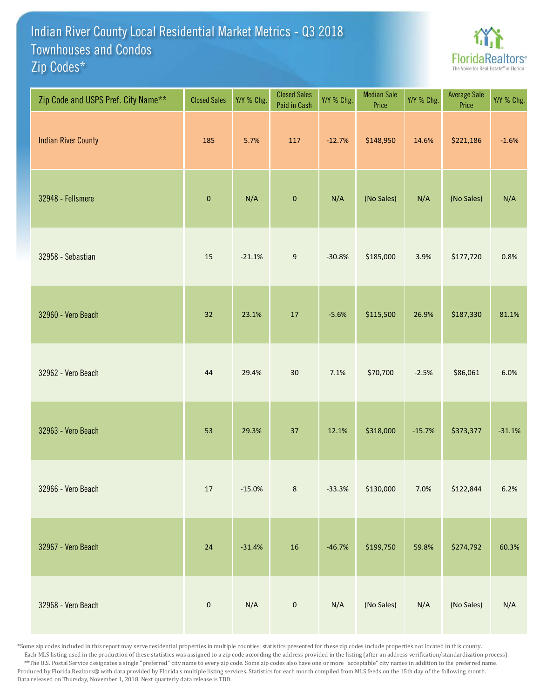## Indian River County Local Residential Market Metrics - Q3 2018 Zip Codes\* Townhouses and Condos



| Zip Code and USPS Pref. City Name** | <b>Closed Sales</b> | Y/Y % Chg. | <b>Closed Sales</b><br>Paid in Cash | Y/Y % Chg. | <b>Median Sale</b><br>Price | Y/Y % Chg. | Average Sale<br>Price | Y/Y % Chg. |
|-------------------------------------|---------------------|------------|-------------------------------------|------------|-----------------------------|------------|-----------------------|------------|
| <b>Indian River County</b>          | 185                 | 5.7%       | 117                                 | $-12.7%$   | \$148,950                   | 14.6%      | \$221,186             | $-1.6%$    |
| 32948 - Fellsmere                   | $\pmb{0}$           | N/A        | $\pmb{0}$                           | N/A        | (No Sales)                  | N/A        | (No Sales)            | N/A        |
| 32958 - Sebastian                   | 15                  | $-21.1%$   | $\boldsymbol{9}$                    | $-30.8%$   | \$185,000                   | 3.9%       | \$177,720             | 0.8%       |
| 32960 - Vero Beach                  | 32                  | 23.1%      | $17\,$                              | $-5.6%$    | \$115,500                   | 26.9%      | \$187,330             | 81.1%      |
| 32962 - Vero Beach                  | 44                  | 29.4%      | $30\,$                              | 7.1%       | \$70,700                    | $-2.5%$    | \$86,061              | 6.0%       |
| 32963 - Vero Beach                  | 53                  | 29.3%      | 37                                  | 12.1%      | \$318,000                   | $-15.7%$   | \$373,377             | $-31.1%$   |
| 32966 - Vero Beach                  | $17\,$              | $-15.0%$   | $\bf 8$                             | $-33.3%$   | \$130,000                   | 7.0%       | \$122,844             | 6.2%       |
| 32967 - Vero Beach                  | $24\,$              | $-31.4%$   | $16\,$                              | $-46.7%$   | \$199,750                   | 59.8%      | \$274,792             | 60.3%      |
| 32968 - Vero Beach                  | $\pmb{0}$           | N/A        | $\mathbf 0$                         | N/A        | (No Sales)                  | N/A        | (No Sales)            | N/A        |

\*Some zip codes included in this report may serve residential properties in multiple counties; statistics presented for these zip codes include properties not located in this county. Each MLS listing used in the production of these statistics was assigned to a zip code according the address provided in the listing (after an address verification/standardization process). \*\*The U.S. Postal Service designates a single "preferred" city name to every zip code. Some zip codes also have one or more "acceptable" city names in addition to the preferred name. Produced by Florida Realtors® with data provided by Florida's multiple listing services. Statistics for each month compiled from MLS feeds on the 15th day of the following month. Data released on Thursday, November 1, 2018. Next quarterly data release is TBD.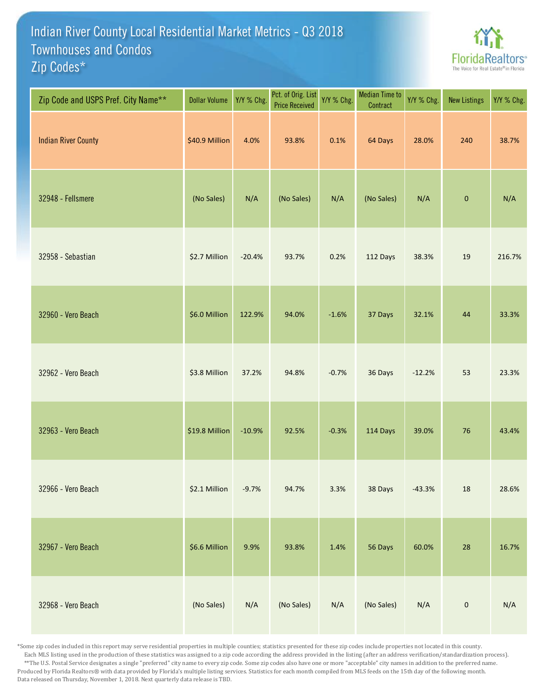## Indian River County Local Residential Market Metrics - Q3 2018 Zip Codes\* Townhouses and Condos



| Zip Code and USPS Pref. City Name** | <b>Dollar Volume</b> | Y/Y % Chg. | Pct. of Orig. List<br><b>Price Received</b> | Y/Y % Chg. | <b>Median Time to</b><br>Contract | Y/Y % Chg. | <b>New Listings</b> | Y/Y % Chg. |
|-------------------------------------|----------------------|------------|---------------------------------------------|------------|-----------------------------------|------------|---------------------|------------|
| <b>Indian River County</b>          | \$40.9 Million       | 4.0%       | 93.8%                                       | 0.1%       | 64 Days                           | 28.0%      | 240                 | 38.7%      |
| 32948 - Fellsmere                   | (No Sales)           | N/A        | (No Sales)                                  | N/A        | (No Sales)                        | N/A        | $\mathbf 0$         | N/A        |
| 32958 - Sebastian                   | \$2.7 Million        | $-20.4%$   | 93.7%                                       | 0.2%       | 112 Days                          | 38.3%      | 19                  | 216.7%     |
| 32960 - Vero Beach                  | \$6.0 Million        | 122.9%     | 94.0%                                       | $-1.6%$    | 37 Days                           | 32.1%      | 44                  | 33.3%      |
| 32962 - Vero Beach                  | \$3.8 Million        | 37.2%      | 94.8%                                       | $-0.7%$    | 36 Days                           | $-12.2%$   | 53                  | 23.3%      |
| 32963 - Vero Beach                  | \$19.8 Million       | $-10.9%$   | 92.5%                                       | $-0.3%$    | 114 Days                          | 39.0%      | 76                  | 43.4%      |
| 32966 - Vero Beach                  | \$2.1 Million        | $-9.7%$    | 94.7%                                       | 3.3%       | 38 Days                           | $-43.3%$   | $18\,$              | 28.6%      |
| 32967 - Vero Beach                  | \$6.6 Million        | 9.9%       | 93.8%                                       | 1.4%       | 56 Days                           | 60.0%      | 28                  | 16.7%      |
| 32968 - Vero Beach                  | (No Sales)           | N/A        | (No Sales)                                  | N/A        | (No Sales)                        | N/A        | $\pmb{0}$           | N/A        |

\*Some zip codes included in this report may serve residential properties in multiple counties; statistics presented for these zip codes include properties not located in this county. Each MLS listing used in the production of these statistics was assigned to a zip code according the address provided in the listing (after an address verification/standardization process). \*\*The U.S. Postal Service designates a single "preferred" city name to every zip code. Some zip codes also have one or more "acceptable" city names in addition to the preferred name. Produced by Florida Realtors® with data provided by Florida's multiple listing services. Statistics for each month compiled from MLS feeds on the 15th day of the following month. Data released on Thursday, November 1, 2018. Next quarterly data release is TBD.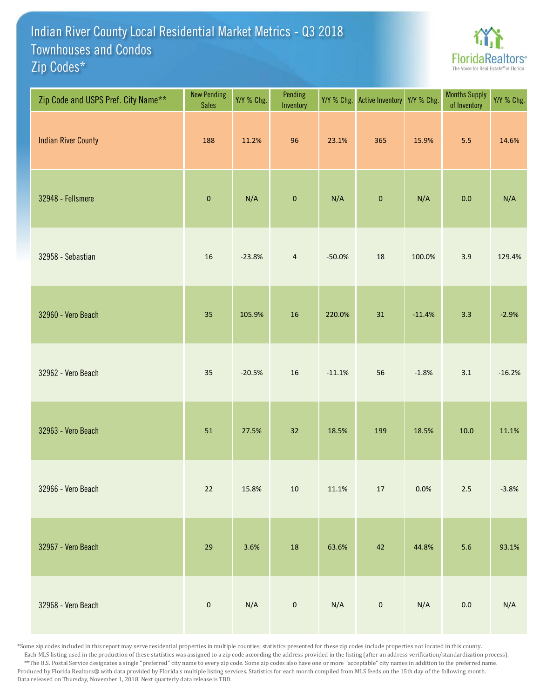## Indian River County Local Residential Market Metrics - Q3 2018 Zip Codes\* Townhouses and Condos



| Zip Code and USPS Pref. City Name** | <b>New Pending</b><br><b>Sales</b> | Y/Y % Chg. | Pending<br>Inventory | Y/Y % Chg. | <b>Active Inventory</b> | Y/Y % Chg. | <b>Months Supply</b><br>of Inventory | Y/Y % Chg. |
|-------------------------------------|------------------------------------|------------|----------------------|------------|-------------------------|------------|--------------------------------------|------------|
| <b>Indian River County</b>          | 188                                | 11.2%      | 96                   | 23.1%      | 365                     | 15.9%      | 5.5                                  | 14.6%      |
| 32948 - Fellsmere                   | $\mathbf 0$                        | N/A        | $\mathbf 0$          | N/A        | $\pmb{0}$               | N/A        | 0.0                                  | N/A        |
| 32958 - Sebastian                   | 16                                 | $-23.8%$   | $\overline{4}$       | $-50.0%$   | 18                      | 100.0%     | 3.9                                  | 129.4%     |
| 32960 - Vero Beach                  | 35                                 | 105.9%     | 16                   | 220.0%     | 31                      | $-11.4%$   | 3.3                                  | $-2.9%$    |
| 32962 - Vero Beach                  | 35                                 | $-20.5%$   | $16\,$               | $-11.1%$   | 56                      | $-1.8%$    | 3.1                                  | $-16.2%$   |
| 32963 - Vero Beach                  | 51                                 | 27.5%      | 32                   | 18.5%      | 199                     | 18.5%      | 10.0                                 | 11.1%      |
| 32966 - Vero Beach                  | $22$                               | 15.8%      | $10\,$               | 11.1%      | $17\,$                  | 0.0%       | $2.5$                                | $-3.8%$    |
| 32967 - Vero Beach                  | 29                                 | 3.6%       | $18\,$               | 63.6%      | 42                      | 44.8%      | 5.6                                  | 93.1%      |
| 32968 - Vero Beach                  | $\pmb{0}$                          | N/A        | $\mathbf 0$          | N/A        | $\pmb{0}$               | N/A        | $0.0\,$                              | N/A        |

\*Some zip codes included in this report may serve residential properties in multiple counties; statistics presented for these zip codes include properties not located in this county. Each MLS listing used in the production of these statistics was assigned to a zip code according the address provided in the listing (after an address verification/standardization process). \*\*The U.S. Postal Service designates a single "preferred" city name to every zip code. Some zip codes also have one or more "acceptable" city names in addition to the preferred name. Produced by Florida Realtors® with data provided by Florida's multiple listing services. Statistics for each month compiled from MLS feeds on the 15th day of the following month. Data released on Thursday, November 1, 2018. Next quarterly data release is TBD.